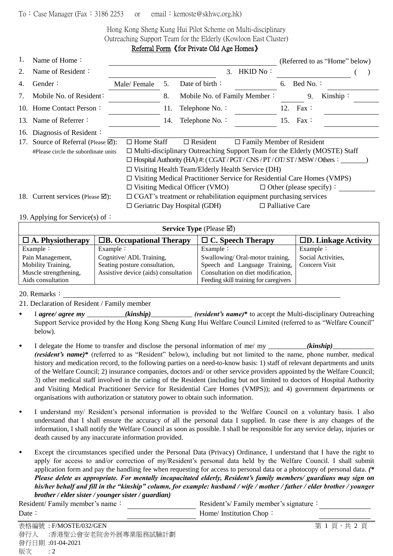## To: Case Manager (Fax: 3186 2253 or email: kemoste@skhwc.org.hk)

Hong Kong Sheng Kung Hui Pilot Scheme on Multi-disciplinary Outreaching Support Team for the Elderly (Kowloon East Cluster) Referral Form《for Private Old Age Homes》

| 1.                               | Name of Home:                                                                                                          |                                                                                  |                                                                                |                                       |                                  | (Referred to as "Home" below) |                                |          |  |  |
|----------------------------------|------------------------------------------------------------------------------------------------------------------------|----------------------------------------------------------------------------------|--------------------------------------------------------------------------------|---------------------------------------|----------------------------------|-------------------------------|--------------------------------|----------|--|--|
| 2.                               | Name of Resident:                                                                                                      |                                                                                  |                                                                                | $3_{-}$                               | $HKID$ No:                       |                               |                                |          |  |  |
| 4.                               | Gender:                                                                                                                | Male/Female                                                                      | 5.                                                                             | Date of birth:                        |                                  | 6.                            | Bed No.                        |          |  |  |
| $7_{\scriptscriptstyle{\ddots}}$ | Mobile No. of Resident:                                                                                                |                                                                                  | 8.                                                                             | Mobile No. of Family Member:          |                                  |                               | 9.                             | Kinship: |  |  |
|                                  | 10. Home Contact Person:                                                                                               |                                                                                  | 11.                                                                            | Telephone No. :                       |                                  |                               | 12. Fax:                       |          |  |  |
|                                  | 13. Name of Referrer:                                                                                                  |                                                                                  | 14.                                                                            | Telephone No. :                       |                                  | 15.                           | $\text{Fax}$ :                 |          |  |  |
| 16.                              | Diagnosis of Resident:                                                                                                 |                                                                                  |                                                                                |                                       |                                  |                               |                                |          |  |  |
| 17.                              | Source of Referral (Please ⊠):                                                                                         | $\Box$ Home Staff                                                                |                                                                                | $\Box$ Resident                       | $\Box$ Family Member of Resident |                               |                                |          |  |  |
|                                  | #Please circle the subordinate units                                                                                   | $\Box$ Multi-disciplinary Outreaching Support Team for the Elderly (MOSTE) Staff |                                                                                |                                       |                                  |                               |                                |          |  |  |
|                                  |                                                                                                                        |                                                                                  | $\Box$ Hospital Authority (HA) #: (CGAT/PGT/CNS/PT/OT/ST/MSW/Others:           |                                       |                                  |                               |                                |          |  |  |
|                                  |                                                                                                                        |                                                                                  | $\Box$ Visiting Health Team/Elderly Health Service (DH)                        |                                       |                                  |                               |                                |          |  |  |
|                                  |                                                                                                                        |                                                                                  | $\Box$ Visiting Medical Practitioner Service for Residential Care Homes (VMPS) |                                       |                                  |                               |                                |          |  |  |
|                                  |                                                                                                                        |                                                                                  |                                                                                | $\Box$ Visiting Medical Officer (VMO) |                                  |                               | $\Box$ Other (please specify): |          |  |  |
|                                  | $\Box$ CGAT's treatment or rehabilitation equipment purchasing services<br>18. Current services (Please $\boxtimes$ ): |                                                                                  |                                                                                |                                       |                                  |                               |                                |          |  |  |
|                                  |                                                                                                                        |                                                                                  |                                                                                | $\Box$ Geriatric Day Hospital (GDH)   |                                  |                               | $\Box$ Palliative Care         |          |  |  |
|                                  |                                                                                                                        |                                                                                  |                                                                                |                                       |                                  |                               |                                |          |  |  |

19. Applying for Service(s) of:

| <b>Service Type</b> (Please $\boxtimes$ ) |                                      |                                             |                               |  |  |  |  |
|-------------------------------------------|--------------------------------------|---------------------------------------------|-------------------------------|--|--|--|--|
| $\Box$ A. Physiotherapy                   | $\Box$ B. Occupational Therapy       | $\Box$ C. Speech Therapy                    | $\square$ D. Linkage Activity |  |  |  |  |
| Example $\colon$                          | Example $\colon$                     | Example $\vdots$                            | Example $\colon$              |  |  |  |  |
| Pain Management,                          | Cognitive/ADL Training,              | Swallowing/Oral-motor training,             | Social Activities,            |  |  |  |  |
| Mobility Training,                        | Seating posture consultation,        | Speech and Language Training, Concern Visit |                               |  |  |  |  |
| Muscle strengthening,                     | Assistive device (aids) consultation | Consultation on diet modification,          |                               |  |  |  |  |
| Aids consultation                         |                                      | Feeding skill training for caregivers       |                               |  |  |  |  |

20. Remarks:

21. Declaration of Resident / Family member

- I *agree/ agree my* \_\_\_\_\_\_\_\_\_\_\_*(kinship)*\_\_\_\_\_\_\_\_\_\_\_\_ *(resident's name)***\*** to accept the Multi-disciplinary Outreaching Support Service provided by the Hong Kong Sheng Kung Hui Welfare Council Limited (referred to as "Welfare Council" below).
- I delegate the Home to transfer and disclose the personal information of me/ my \_\_\_\_\_\_\_\_\_\_\_*(kinship)*\_\_\_\_\_\_\_\_\_\_\_\_ *(resident's name)*\* (referred to as "Resident" below), including but not limited to the name, phone number, medical history and medication record, to the following parties on a need-to-know basis: 1) staff of relevant departments and units of the Welfare Council; 2) insurance companies, doctors and/ or other service providers appointed by the Welfare Council; 3) other medical staff involved in the caring of the Resident (including but not limited to doctors of Hospital Authority and Visiting Medical Practitioner Service for Residential Care Homes (VMPS)); and 4) government departments or organisations with authorization or statutory power to obtain such information.
- I understand my/ Resident's personal information is provided to the Welfare Council on a voluntary basis. I also understand that I shall ensure the accuracy of all the personal data I supplied. In case there is any changes of the information, I shall notify the Welfare Council as soon as possible. I shall be responsible for any service delay, injuries or death caused by any inaccurate information provided.
- Except the circumstances specified under the Personal Data (Privacy) Ordinance, I understand that I have the right to apply for access to and/or correction of my/Resident's personal data held by the Welfare Council. I shall submit application form and pay the handling fee when requesting for access to personal data or a photocopy of personal data. *(\* Please delete as appropriate. For mentally incapacitated elderly, Resident's family members/ guardians may sign on his/her behalf and fill in the "kinship" column, for example: husband / wife / mother / father / elder brother / younger brother / elder sister / younger sister / guardian)*

Resident/ Family member's name: Resident's/ Family member's signature: Date: Home/ Institution Chop: